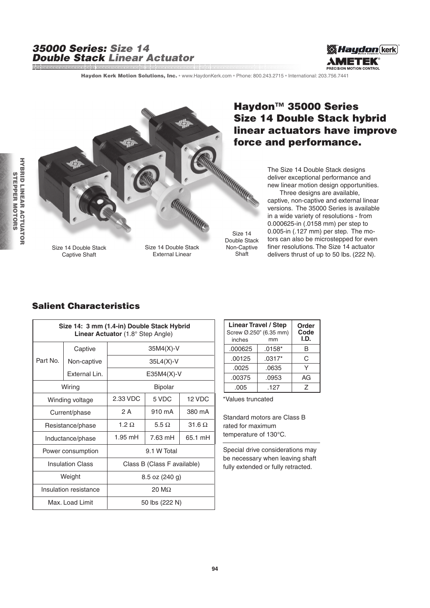#### 35000 Series: Size 14 Double Stack Linear Actuator and and an anti-component and an anti-component and and an anti-component and and an anti-component and and a<br>In the component and an anti-component and an anti-component and an anti-component and an anti-component and a



Haydon Kerk Motion Solutions, Inc. · www.HaydonKerk.com · Phone: 800.243.2715 · International: 203.756.7441



Size 14 Double Stack Non-Captive **Shaft** 

## Haydon<sup>™</sup> 35000 Series Size 14 Double Stack hybrid linear actuators have improve force and performance.

The Size 14 Double Stack designs deliver exceptional performance and new linear motion design opportunities.

 Three designs are available, captive, non-captive and external linear versions. The 35000 Series is available in a wide variety of resolutions - from 0.000625-in (.0158 mm) per step to 0.005-in (.127 mm) per step. The motors can also be microstepped for even finer resolutions. The Size 14 actuator delivers thrust of up to 50 lbs. (222 N).

### Salient Characteristics

| Size 14: 3 mm (1.4-in) Double Stack Hybrid<br>Linear Actuator (1.8° Step Angle) |               |                             |              |               |  |
|---------------------------------------------------------------------------------|---------------|-----------------------------|--------------|---------------|--|
|                                                                                 | Captive       | $35M4(X)-V$                 |              |               |  |
| Part No.                                                                        | Non-captive   |                             | $35L4(X)-V$  |               |  |
|                                                                                 | External Lin. |                             | $E35M4(X)-V$ |               |  |
| Wiring                                                                          |               | Bipolar                     |              |               |  |
| Winding voltage                                                                 |               | 2.33 VDC                    | 5 VDC        | 12 VDC        |  |
| Current/phase                                                                   |               | 2 A                         | 910 mA       | 380 mA        |  |
| Resistance/phase                                                                |               | $1.2 \Omega$                | 5.5 $\Omega$ | $31.6 \Omega$ |  |
| Inductance/phase                                                                |               | $1.95$ mH                   | 7.63 mH      | 65.1 mH       |  |
| Power consumption                                                               |               | 9.1 W Total                 |              |               |  |
| <b>Insulation Class</b>                                                         |               | Class B (Class F available) |              |               |  |
| Weight                                                                          |               | 8.5 oz (240 g)              |              |               |  |
| Insulation resistance                                                           |               | $20 \text{ M}\Omega$        |              |               |  |
| Max, Load Limit                                                                 |               | 50 lbs (222 N)              |              |               |  |

| <b>Linear Travel / Step</b><br>Screw Ø.250" (6.35 mm)<br>inches | Order<br>Code<br>I.D. |    |
|-----------------------------------------------------------------|-----------------------|----|
| .000625                                                         | $.0158*$              | B  |
| .00125                                                          | $.0317*$              | C  |
| .0025                                                           | .0635                 | ν  |
| .00375                                                          | .0953                 | AG |
| .005                                                            | .127                  | 7  |

\*Values truncated

Standard motors are Class B rated for maximum temperature of 130°C.

Special drive considerations may be necessary when leaving shaft fully extended or fully retracted.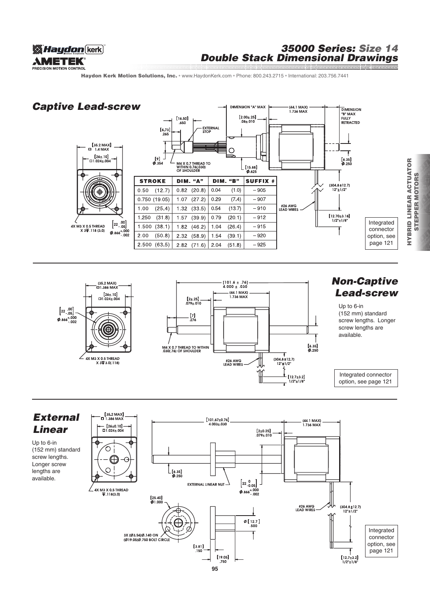

### 35000 Series: Size 14 Double Stack Dimensional Drawings

Haydon Kerk Motion Solutions, Inc. · www.HaydonKerk.com · Phone: 800.243.2715 · International: 203.756.7441

# Captive Lead-screw



DIMENSION "A" MAX